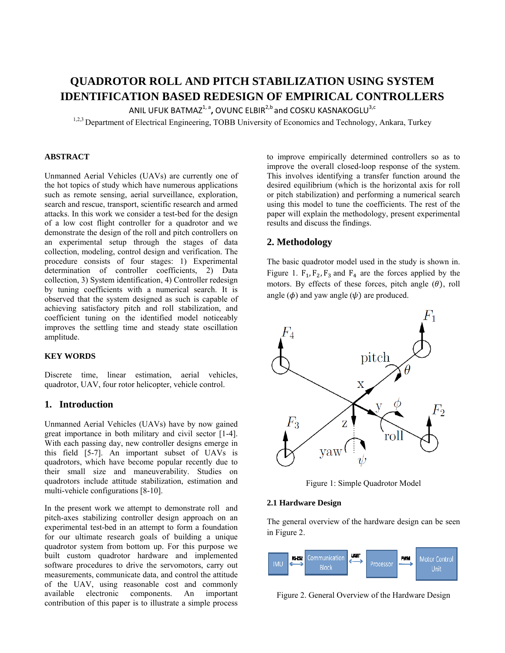# **QUADROTOR ROLL AND PITCH STABILIZATION USING SYSTEM IDENTIFICATION BASED REDESIGN OF EMPIRICAL CONTROLLERS**

ANIL UFUK BATMAZ<sup>1, a</sup>, OVUNC ELBIR<sup>2,b</sup> and COSKU KASNAKOGLU<sup>3,c</sup>

<sup>1,2,3</sup> Department of Electrical Engineering, TOBB University of Economics and Technology, Ankara, Turkey

## **ABSTRACT**

Unmanned Aerial Vehicles (UAVs) are currently one of the hot topics of study which have numerous applications such as remote sensing, aerial surveillance, exploration, search and rescue, transport, scientific research and armed attacks. In this work we consider a test-bed for the design of a low cost flight controller for a quadrotor and we demonstrate the design of the roll and pitch controllers on an experimental setup through the stages of data collection, modeling, control design and verification. The procedure consists of four stages: 1) Experimental determination of controller coefficients, 2) Data collection, 3) System identification, 4) Controller redesign by tuning coefficients with a numerical search. It is observed that the system designed as such is capable of achieving satisfactory pitch and roll stabilization, and coefficient tuning on the identified model noticeably improves the settling time and steady state oscillation amplitude.

## **KEY WORDS**

Discrete time, linear estimation, aerial vehicles, quadrotor, UAV, four rotor helicopter, vehicle control.

# **1. Introduction**

Unmanned Aerial Vehicles (UAVs) have by now gained great importance in both military and civil sector [1-4]. With each passing day, new controller designs emerge in this field [5-7]. An important subset of UAVs is quadrotors, which have become popular recently due to their small size and maneuverability. Studies on quadrotors include attitude stabilization, estimation and multi-vehicle configurations [8-10].

In the present work we attempt to demonstrate roll and pitch-axes stabilizing controller design approach on an experimental test-bed in an attempt to form a foundation for our ultimate research goals of building a unique quadrotor system from bottom up. For this purpose we built custom quadrotor hardware and implemented software procedures to drive the servomotors, carry out measurements, communicate data, and control the attitude of the UAV, using reasonable cost and commonly available electronic components. An important contribution of this paper is to illustrate a simple process

to improve empirically determined controllers so as to improve the overall closed-loop response of the system. This involves identifying a transfer function around the desired equilibrium (which is the horizontal axis for roll or pitch stabilization) and performing a numerical search using this model to tune the coefficients. The rest of the paper will explain the methodology, present experimental results and discuss the findings.

# **2. Methodology**

The basic quadrotor model used in the study is shown in. Figure 1.  $F_1$ ,  $F_2$ ,  $F_3$  and  $F_4$  are the forces applied by the motors. By effects of these forces, pitch angle  $(\theta)$ , roll angle  $(\phi)$  and yaw angle  $(\psi)$  are produced.



Figure 1: Simple Quadrotor Model

#### **2.1 Hardware Design**

The general overview of the hardware design can be seen in Figure 2.



Figure 2. General Overview of the Hardware Design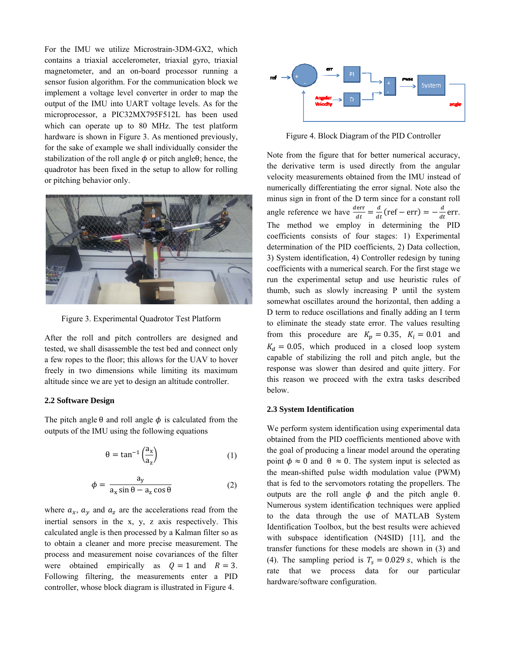For the IMU we utilize Microstrain-3DM-GX2, which contains a triaxial accelerometer, triaxial gyro, triaxial magnetometer, and an on-board processor running a sensor fusion algorithm. For the communication block we implement a voltage level converter in order to map the output of the IMU into UART voltage levels. As for the microprocessor, a PIC32MX795F512L has been used which can operate up to 80 MHz. The test platform hardware is shown in Figure 3. As mentioned previously, for the sake of example we shall individually consider the stabilization of the roll angle  $\phi$  or pitch angle  $\theta$ ; hence, the quadrotor has been fixed in the setup to allow for rolling or pitching behavior only.



Figure 3. Experimental Quadrotor Test Platform

After the roll and pitch controllers are designed and tested, we shall disassemble the test bed and connect only a few ropes to the floor; this allows for the UAV to hover freely in two dimensions while limiting its maximum altitude since we are yet to design an altitude controller.

#### **2.2 Software Design**

The pitch angle  $\theta$  and roll angle  $\phi$  is calculated from the outputs of the IMU using the following equations

$$
\theta = \tan^{-1} \left( \frac{a_x}{a_z} \right) \tag{1}
$$

$$
\phi = \frac{a_y}{a_x \sin \theta - a_z \cos \theta} \tag{2}
$$

where  $a_x$ ,  $a_y$  and  $a_z$  are the accelerations read from the inertial sensors in the x, y, z axis respectively. This calculated angle is then processed by a Kalman filter so as to obtain a cleaner and more precise measurement. The process and measurement noise covariances of the filter were obtained empirically as  $Q = 1$  and  $R = 3$ . Following filtering, the measurements enter a PID controller, whose block diagram is illustrated in Figure 4.



Figure 4. Block Diagram of the PID Controller

Note from the figure that for better numerical accuracy, the derivative term is used directly from the angular velocity measurements obtained from the IMU instead of numerically differentiating the error signal. Note also the minus sign in front of the D term since for a constant roll angle reference we have  $\frac{derr}{dt} = \frac{d}{dt} (ref - err) = -\frac{d}{dt} err.$ The method we employ in determining the PID coefficients consists of four stages: 1) Experimental determination of the PID coefficients, 2) Data collection, 3) System identification, 4) Controller redesign by tuning coefficients with a numerical search. For the first stage we run the experimental setup and use heuristic rules of thumb, such as slowly increasing P until the system somewhat oscillates around the horizontal, then adding a D term to reduce oscillations and finally adding an I term to eliminate the steady state error. The values resulting from this procedure are  $K_p = 0.35$ ,  $K_i = 0.01$  and  $K_d = 0.05$ , which produced in a closed loop system capable of stabilizing the roll and pitch angle, but the response was slower than desired and quite jittery. For this reason we proceed with the extra tasks described below.

#### **2.3 System Identification**

We perform system identification using experimental data obtained from the PID coefficients mentioned above with the goal of producing a linear model around the operating point  $\phi \approx 0$  and  $\theta \approx 0$ . The system input is selected as the mean-shifted pulse width modulation value (PWM) that is fed to the servomotors rotating the propellers. The outputs are the roll angle  $φ$  and the pitch angle  $θ$ . Numerous system identification techniques were applied to the data through the use of MATLAB System Identification Toolbox, but the best results were achieved with subspace identification (N4SID) [11], and the transfer functions for these models are shown in (3) and (4). The sampling period is  $T_s = 0.029$  s, which is the rate that we process data for our particular hardware/software configuration.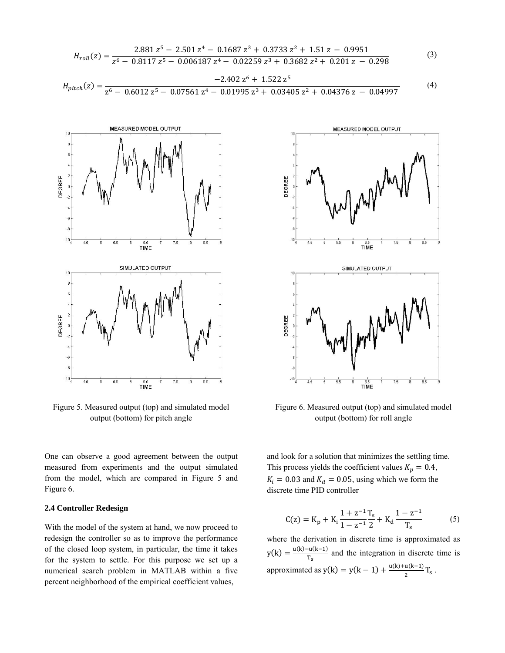$$
H_{roll}(z) = \frac{2.881 z^5 - 2.501 z^4 - 0.1687 z^3 + 0.3733 z^2 + 1.51 z - 0.9951}{z^6 - 0.8117 z^5 - 0.006187 z^4 - 0.02259 z^3 + 0.3682 z^2 + 0.201 z - 0.298}
$$
(3)  
-2.402 z<sup>6</sup> + 1.522 z<sup>5</sup>

$$
H_{pitch}(z) = \frac{2.102 \times 1.1522 \times 2}{z^6 - 0.6012 \times 5 - 0.07561 \times 4 - 0.01995 \times 3 + 0.03405 \times 2 + 0.04376 \times 2 - 0.04997} \tag{4}
$$



Figure 5. Measured output (top) and simulated model output (bottom) for pitch angle

One can observe a good agreement between the output measured from experiments and the output simulated from the model, which are compared in Figure 5 and Figure 6.

# 2.4 Controller Redesign

With the model of the system at hand, we now proceed to redesign the controller so as to improve the performance of the closed loop system, in particular, the time it takes for the system to settle. For this purpose we set up a numerical search problem in MATLAB within a five percent neighborhood of the empirical coefficient values,



Figure 6. Measured output (top) and simulated model output (bottom) for roll angle

and look for a solution that minimizes the settling time. This process yields the coefficient values  $K_p = 0.4$ ,  $K_i = 0.03$  and  $K_d = 0.05$ , using which we form the discrete time PID controller

$$
C(z) = K_p + K_i \frac{1 + z^{-1}T_s}{1 - z^{-1}} + K_d \frac{1 - z^{-1}}{T_s}
$$
 (5)

where the derivation in discrete time is approximated as  $y(k) = \frac{u(k)-u(k-1)}{T_s}$  and the integration in discrete time is approximated as  $y(k) = y(k-1) + \frac{u(k) + u(k-1)}{2}T_s$ .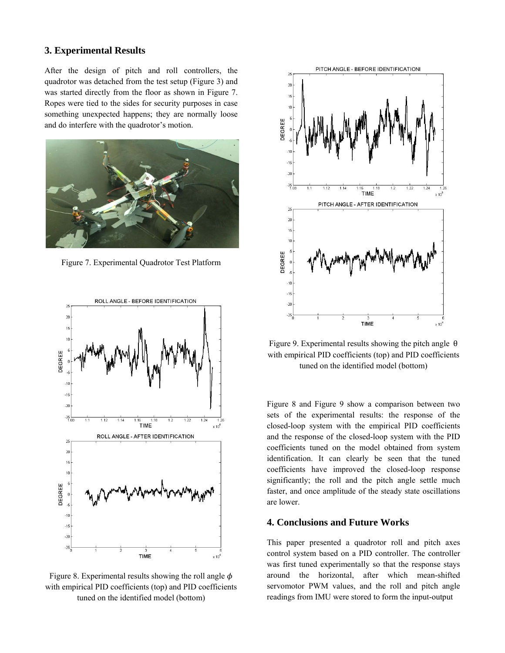## **3. Experimental Results**

After the design of pitch and roll controllers, the quadrotor was detached from the test setup (Figure 3) and was started directly from the floor as shown in Figure 7. Ropes were tied to the sides for security purposes in case something unexpected happens; they are normally loose and do interfere with the quadrotor's motion.



Figure 7. Experimental Quadrotor Test Platform



Figure 8. Experimental results showing the roll angle  $\phi$ with empirical PID coefficients (top) and PID coefficients tuned on the identified model (bottom)



Figure 9. Experimental results showing the pitch angle  $\theta$ with empirical PID coefficients (top) and PID coefficients tuned on the identified model (bottom)

Figure 8 and Figure 9 show a comparison between two sets of the experimental results: the response of the closed-loop system with the empirical PID coefficients and the response of the closed-loop system with the PID coefficients tuned on the model obtained from system identification. It can clearly be seen that the tuned coefficients have improved the closed-loop response significantly; the roll and the pitch angle settle much faster, and once amplitude of the steady state oscillations are lower.

## **4. Conclusions and Future Works**

This paper presented a quadrotor roll and pitch axes control system based on a PID controller. The controller was first tuned experimentally so that the response stays around the horizontal, after which mean-shifted servomotor PWM values, and the roll and pitch angle readings from IMU were stored to form the input-output